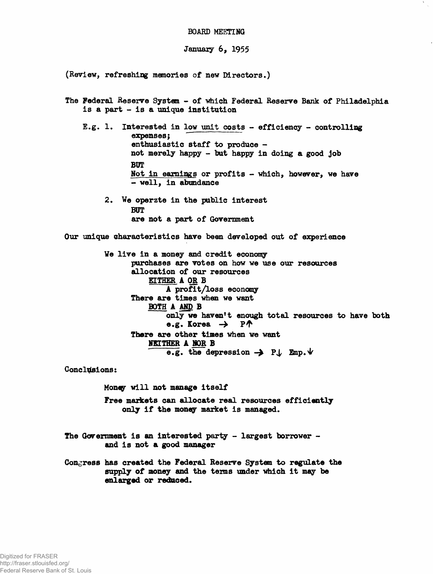## **BOARD MEETING**

January 6, 1955

(Review, refreshing memories of new Directors.)

The Federal Reserve System - of which Federal Reserve Bank of Philadelphia is a part - is a unique institution E.g. 1. Interested in low unit costs - efficiency - controlling expenses; enthusiastic staff to produce not merely happy - but happy in doing a good job BUT Not in earnings or profits - which, however, we have - well, in abundance 2. We operzte in the public interest BUT are not a part of Government Our unique characteristics have been developed out of experience We live in a money and credit economy purchases are votes on how we use our resources allocation of our resources EITHER A OR B A profit/loss economy There are times when we want BOTH A AND B only we haven't enough total resources to have both e.g. Korea  $\rightarrow$  P $\uparrow$ There are other times when we want NEITHER A NOR B e.g. the depression  $\rightarrow$  P $\downarrow$  Emp. $\forall$ 

Conclusions:

Money will not manage itself

Free markets can allocate real resources efficiently only if the money market is managed.

The Government is an interested party - largest borrower and is not a good manager

Congress has created the Federal Reserve System to regulate the supply of money and the terms under which it may be enlarged or reduced.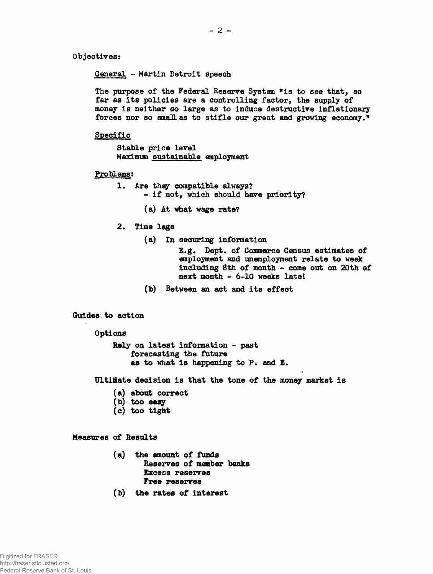**Objectives:**

**General - Martin Detroit speech**

**The purpose of the Federal Reserve System "is to see that, so far as its policies are a controlling factor, the supply of money is neither so large as to induce destructive inflationary forces nor so smaHas to stifle our great and growing economy."**

**Specific**

**Stable price level Maximum sustainable employment**

**Problems:**

- **1. Are they compatible always? - if not, which should have priórity?**
	- **(a) At what wage rate?**
- **2. Time lags**
	- **(a) In securing information**

**E.g. Dept, of Commarce Census estimates of employment and unemployment relate to week including 8th of month - come out on 20th of next month - 6-10 weeks late!**

**(b) Between an act and its effect**

**Guides to action**

**Options**

**Rely on latest information - past forecasting the future as to what is happening to P. and E.**

**UltiHate decision is that the tone of the money market is**

- **(a) about correct**
- **(b) too easy**
- **(c) too tight**

**Measures of Results**

- **(a) the amount of funds Reserves of member banks Excess reserves Free reserves**
- **(b) the rates of interest**